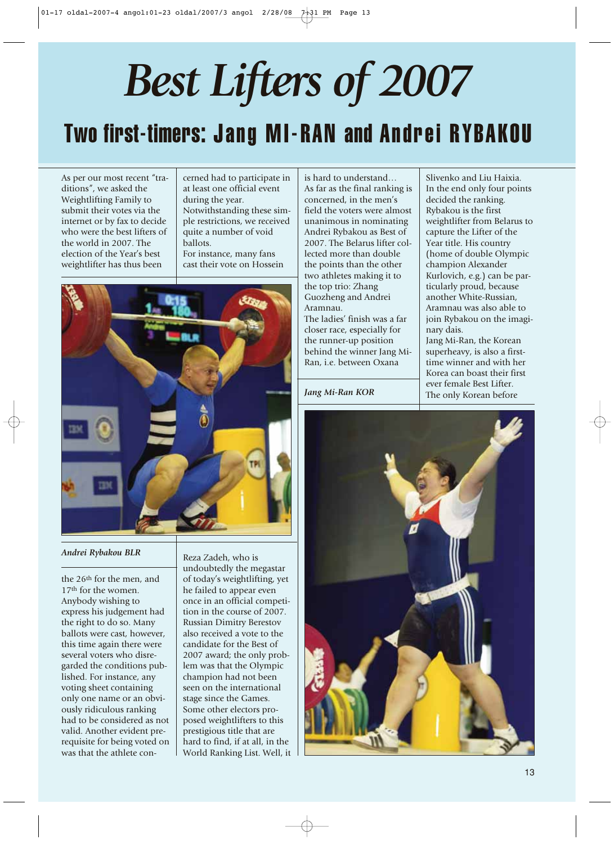# *Best Lifters of 2007* Two first-timers: Jang MI-RAN and Andrei RYBAKOU

As per our most recent "traditions", we asked the Weightlifting Family to submit their votes via the internet or by fax to decide who were the best lifters of the world in 2007. The election of the Year's best weightlifter has thus been

cerned had to participate in at least one official event during the year. Notwithstanding these simple restrictions, we received quite a number of void ballots.

For instance, many fans cast their vote on Hossein



#### *Andrei Rybakou BLR*

the 26th for the men, and 17<sup>th</sup> for the women. Anybody wishing to express his judgement had the right to do so. Many ballots were cast, however, this time again there were several voters who disregarded the conditions published. For instance, any voting sheet containing only one name or an obviously ridiculous ranking had to be considered as not valid. Another evident prerequisite for being voted on was that the athlete con-

Reza Zadeh, who is undoubtedly the megastar of today's weightlifting, yet he failed to appear even once in an official competition in the course of 2007. Russian Dimitry Berestov also received a vote to the candidate for the Best of 2007 award; the only problem was that the Olympic champion had not been seen on the international stage since the Games. Some other electors proposed weightlifters to this prestigious title that are hard to find, if at all, in the World Ranking List. Well, it

is hard to understand… As far as the final ranking is concerned, in the men's field the voters were almost unanimous in nominating Andrei Rybakou as Best of 2007. The Belarus lifter collected more than double the points than the other two athletes making it to the top trio: Zhang Guozheng and Andrei Aramnau. The ladies' finish was a far closer race, especially for the runner-up position behind the winner Jang Mi-Ran, i.e. between Oxana

Slivenko and Liu Haixia. In the end only four points decided the ranking. Rybakou is the first weightlifter from Belarus to capture the Lifter of the Year title. His country (home of double Olympic champion Alexander Kurlovich, e.g.) can be particularly proud, because another White-Russian, Aramnau was also able to join Rybakou on the imaginary dais. Jang Mi-Ran, the Korean

superheavy, is also a firsttime winner and with her Korea can boast their first ever female Best Lifter. The only Korean before

*Jang Mi-Ran KOR* 

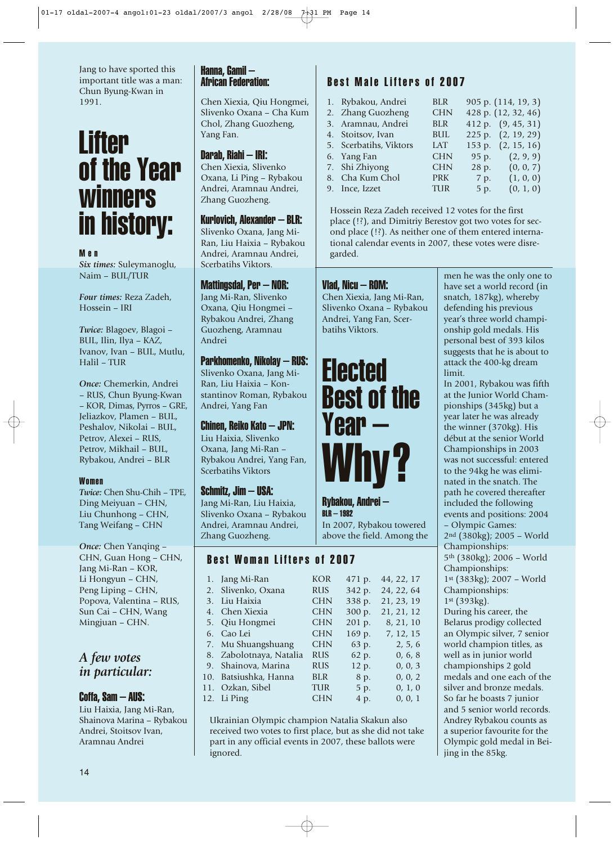Jang to have sported this important title was a man: Chun Byung-Kwan in 1991.

# **Lifter** of the Year **winners** in history:

#### Men

*Six times:* Suleymanoglu, Naim – BUL/TUR

*Four times:* Reza Zadeh, Hossein – IRI

*Twice:* Blagoev, Blagoi – BUL, Ilin, Ilya – KAZ, Ivanov, Ivan – BUL, Mutlu, Halil – TUR

*Once:* Chemerkin, Andrei – RUS, Chun Byung-Kwan – KOR, Dimas, Pyrros – GRE, Jeliazkov, Plamen – BUL, Peshalov, Nikolai – BUL, Petrov, Alexei – RUS, Petrov, Mikhail – BUL, Rybakou, Andrei – BLR

#### Women

*Twice:* Chen Shu-Chih – TPE, Ding Meiyuan – CHN, Liu Chunhong – CHN, Tang Weifang – CHN

*Once:* Chen Yanqing – CHN, Guan Hong – CHN, Jang Mi-Ran – KOR, Li Hongyun – CHN, Peng Liping – CHN, Popova, Valentina – RUS, Sun Cai – CHN, Wang Mingjuan – CHN.

## *A few votes in particular:*

#### Coffa, Sam – AUS:

Liu Haixia, Jang Mi-Ran, Shainova Marina – Rybakou Andrei, Stoitsov Ivan, Aramnau Andrei

#### Hanna, Gamil – African Federation:

Chen Xiexia, Qiu Hongmei, Slivenko Oxana – Cha Kum Chol, Zhang Guozheng, Yang Fan.

#### Darab, Riahi – IRI:

Chen Xiexia, Slivenko Oxana, Li Ping – Rybakou Andrei, Aramnau Andrei, Zhang Guozheng.

#### Kurlovich, Alexander – BLR:

Slivenko Oxana, Jang Mi-Ran, Liu Haixia – Rybakou Andrei, Aramnau Andrei, Scerbatihs Viktors.

#### Mattingsdal, Per – NOR:

Jang Mi-Ran, Slivenko Oxana, Qiu Hongmei – Rybakou Andrei, Zhang Guozheng, Aramnau Andrei

#### Parkhomenko, Nikolay – RUS:

Slivenko Oxana, Jang Mi-Ran, Liu Haixia – Konstantinov Roman, Rybakou Andrei, Yang Fan

#### Chinen, Reiko Kato – JPN:

Liu Haixia, Slivenko Oxana, Jang Mi-Ran – Rybakou Andrei, Yang Fan, Scerbatihs Viktors

#### Schmitz, Jim – USA:

Jang Mi-Ran, Liu Haixia, Slivenko Oxana – Rybakou Andrei, Aramnau Andrei, Zhang Guozheng.

### Best Woman Lifters of 2007

|    | 1. Jang Mi-Ran          | KOR        | 471 p. | 44, 22, 17 |
|----|-------------------------|------------|--------|------------|
|    | 2. Slivenko, Oxana      | <b>RUS</b> | 342 p. | 24, 22, 64 |
| 3. | Liu Haixia              | <b>CHN</b> | 338 p. | 21, 23, 19 |
|    | 4. Chen Xiexia          | <b>CHN</b> | 300 p. | 21, 21, 12 |
|    | 5. Qiu Hongmei          | <b>CHN</b> | 201 p. | 8, 21, 10  |
| 6. | Cao Lei                 | <b>CHN</b> | 169 p. | 7, 12, 15  |
|    | 7. Mu Shuangshuang      | <b>CHN</b> | 63 p.  | 2, 5, 6    |
|    | 8. Zabolotnaya, Natalia | <b>RUS</b> | 62 p.  | 0, 6, 8    |
| 9. | Shainova, Marina        | <b>RUS</b> | 12 p.  | 0, 0, 3    |
|    | 10. Batsiushka, Hanna   | <b>BLR</b> | 8 p.   | 0, 0, 2    |
|    | 11. Ozkan, Sibel        | TUR        | 5 p.   | 0, 1, 0    |
|    | 12. Li Ping             | CHN        | 4 p.   | 0, 0, 1    |

Ukrainian Olympic champion Natalia Skakun also received two votes to first place, but as she did not take part in any official events in 2007, these ballots were ignored.

# Best Male Lifters of 2007

| 1. Rybakou, Andrei     | <b>BLR</b> |       | 905 p. (114, 19, 3) |
|------------------------|------------|-------|---------------------|
| 2. Zhang Guozheng      | <b>CHN</b> |       | 428 p. (12, 32, 46) |
| 3. Aramnau, Andrei     | <b>BLR</b> |       | 412 p. (9, 45, 31)  |
| 4. Stoitsov, Ivan      | <b>BUL</b> |       | 225 p. (2, 19, 29)  |
| 5. Scerbatihs, Viktors | LAT.       |       | 153 p. (2, 15, 16)  |
| 6. Yang Fan            | <b>CHN</b> | 95 p. | (2, 9, 9)           |
| 7. Shi Zhiyong         | <b>CHN</b> | 28 p. | (0, 0, 7)           |
| 8. Cha Kum Chol        | <b>PRK</b> | 7 p.  | (1, 0, 0)           |
| 9. Ince, Izzet         | <b>TUR</b> | 5 p.  | (0, 1, 0)           |

Hossein Reza Zadeh received 12 votes for the first place (!?), and Dimitriy Berestov got two votes for second place (!?). As neither one of them entered international calendar events in 2007, these votes were disregarded.

#### Vlad, Nicu – ROM:

Chen Xiexia, Jang Mi-Ran, Slivenko Oxana – Rybakou Andrei, Yang Fan, Scerbatihs Viktors.



Rybakou, Andrei – BLR – 1982 In 2007, Rybakou towered above the field. Among the men he was the only one to have set a world record (in snatch, 187kg), whereby defending his previous year's three world championship gold medals. His personal best of 393 kilos suggests that he is about to attack the 400-kg dream limit.

In 2001, Rybakou was fifth at the Junior World Championships (345kg) but a year later he was already the winner (370kg). His début at the senior World Championships in 2003 was not successful: entered to the 94kg he was eliminated in the snatch. The path he covered thereafter included the following events and positions: 2004 – Olympic Games: 2nd (380kg); 2005 – World Championships: 5th (380kg); 2006 – World Championships: 1st (383kg); 2007 – World Championships: 1st (393kg). During his career, the Belarus prodigy collected an Olympic silver, 7 senior world champion titles, as well as in junior world championships 2 gold medals and one each of the silver and bronze medals. So far he boasts 7 junior and 5 senior world records. Andrey Rybakou counts as a superior favourite for the Olympic gold medal in Beijing in the 85kg.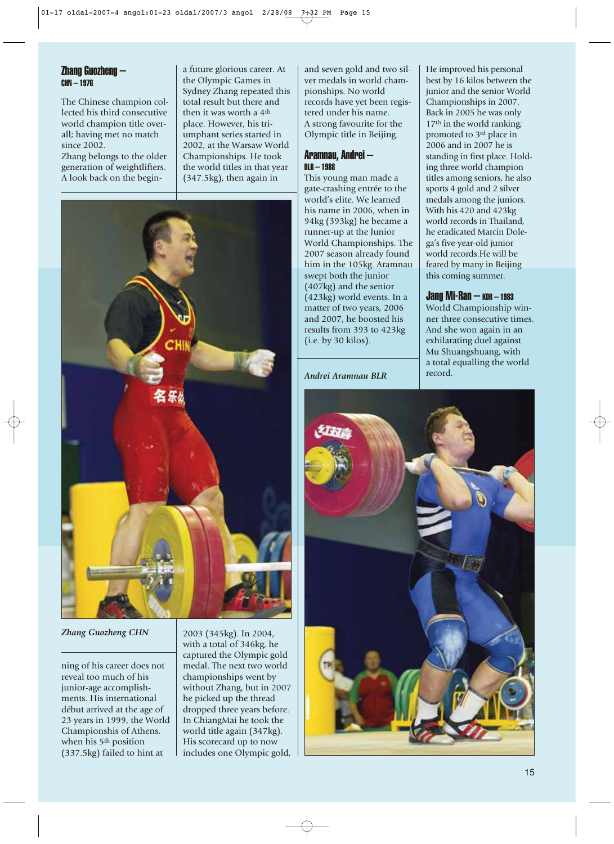#### Zhang Guozheng – CHN – 1976

The Chinese champion collected his third consecutive world champion title overall; having met no match since 2002.

Zhang belongs to the older generation of weightlifters. A look back on the begina future glorious career. At the Olympic Games in Sydney Zhang repeated this total result but there and then it was worth a 4th place. However, his triumphant series started in 2002, at the Warsaw World Championships. He took the world titles in that year (347.5kg), then again in



#### *Zhang Guozheng CHN*

ning of his career does not reveal too much of his junior-age accomplishments. His international début arrived at the age of 23 years in 1999, the World Championshis of Athens, when his 5th position (337.5kg) failed to hint at

2003 (345kg). In 2004, with a total of 346kg, he captured the Olympic gold medal. The next two world championships went by without Zhang, but in 2007 he picked up the thread dropped three years before. In ChiangMai he took the world title again (347kg). His scorecard up to now includes one Olympic gold, and seven gold and two silver medals in world championships. No world records have yet been registered under his name. A strong favourite for the Olympic title in Beijing.

#### Aramnau, Andrei – BLR – 1988

This young man made a gate-crashing entrée to the world's elite. We learned his name in 2006, when in 94kg (393kg) he became a runner-up at the Junior World Championships. The 2007 season already found him in the 105kg. Aramnau swept both the junior (407kg) and the senior (423kg) world events. In a matter of two years, 2006 and 2007, he boosted his results from 393 to 423kg (i.e. by 30 kilos).

*Andrei Aramnau BLR*

He improved his personal best by 16 kilos between the junior and the senior World Championships in 2007. Back in 2005 he was only 17<sup>th</sup> in the world ranking; promoted to 3rd place in 2006 and in 2007 he is standing in first place. Holding three world champion titles among seniors, he also sports 4 gold and 2 silver medals among the juniors. With his 420 and 423kg world records in Thailand, he eradicated Marcin Dolega's five-year-old junior world records.He will be feared by many in Beijing this coming summer.

#### $Jang Mi-Ran - kon - 1983$

World Championship winner three consecutive times. And she won again in an exhilarating duel against Mu Shuangshuang, with a total equalling the world record.